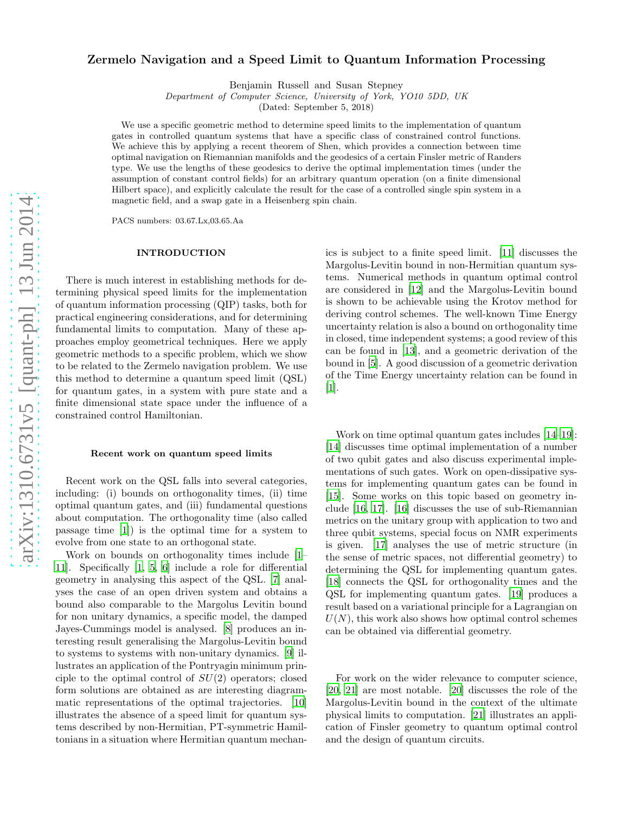# arXiv:1310.6731v5 [quant-ph] 13 Jun 2014 [arXiv:1310.6731v5 \[quant-ph\] 13 Jun 2014](http://arxiv.org/abs/1310.6731v5)

# Zermelo Navigation and a Speed Limit to Quantum Information Processing

Benjamin Russell and Susan Stepney

Department of Computer Science, University of York, YO10 5DD, UK

(Dated: September 5, 2018)

We use a specific geometric method to determine speed limits to the implementation of quantum gates in controlled quantum systems that have a specific class of constrained control functions. We achieve this by applying a recent theorem of Shen, which provides a connection between time optimal navigation on Riemannian manifolds and the geodesics of a certain Finsler metric of Randers type. We use the lengths of these geodesics to derive the optimal implementation times (under the assumption of constant control fields) for an arbitrary quantum operation (on a finite dimensional Hilbert space), and explicitly calculate the result for the case of a controlled single spin system in a magnetic field, and a swap gate in a Heisenberg spin chain.

PACS numbers: 03.67.Lx,03.65.Aa

## INTRODUCTION

There is much interest in establishing methods for determining physical speed limits for the implementation of quantum information processing (QIP) tasks, both for practical engineering considerations, and for determining fundamental limits to computation. Many of these approaches employ geometrical techniques. Here we apply geometric methods to a specific problem, which we show to be related to the Zermelo navigation problem. We use this method to determine a quantum speed limit (QSL) for quantum gates, in a system with pure state and a finite dimensional state space under the influence of a constrained control Hamiltonian.

### Recent work on quantum speed limits

Recent work on the QSL falls into several categories, including: (i) bounds on orthogonality times, (ii) time optimal quantum gates, and (iii) fundamental questions about computation. The orthogonality time (also called passage time [\[1\]](#page-6-0)) is the optimal time for a system to evolve from one state to an orthogonal state.

Work on bounds on orthogonality times include [\[1](#page-6-0)– [11\]](#page-6-1). Specifically [\[1,](#page-6-0) [5,](#page-6-2) [6](#page-6-3)] include a role for differential geometry in analysing this aspect of the QSL. [\[7\]](#page-6-4) analyses the case of an open driven system and obtains a bound also comparable to the Margolus Levitin bound for non unitary dynamics, a specific model, the damped Jayes-Cummings model is analysed. [\[8\]](#page-6-5) produces an interesting result generalising the Margolus-Levitin bound to systems to systems with non-unitary dynamics. [\[9](#page-6-6)] illustrates an application of the Pontryagin minimum principle to the optimal control of  $SU(2)$  operators; closed form solutions are obtained as are interesting diagrammatic representations of the optimal trajectories. [\[10](#page-6-7)] illustrates the absence of a speed limit for quantum systems described by non-Hermitian, PT-symmetric Hamiltonians in a situation where Hermitian quantum mechanics is subject to a finite speed limit. [\[11\]](#page-6-1) discusses the Margolus-Levitin bound in non-Hermitian quantum systems. Numerical methods in quantum optimal control are considered in [\[12](#page-6-8)] and the Margolus-Levitin bound is shown to be achievable using the Krotov method for deriving control schemes. The well-known Time Energy uncertainty relation is also a bound on orthogonality time in closed, time independent systems; a good review of this can be found in [\[13\]](#page-6-9), and a geometric derivation of the bound in [\[5\]](#page-6-2). A good discussion of a geometric derivation of the Time Energy uncertainty relation can be found in [\[1\]](#page-6-0).

Work on time optimal quantum gates includes [\[14](#page-6-10)[–19\]](#page-6-11): [\[14\]](#page-6-10) discusses time optimal implementation of a number of two qubit gates and also discuss experimental implementations of such gates. Work on open-dissipative systems for implementing quantum gates can be found in [\[15\]](#page-6-12). Some works on this topic based on geometry include [\[16](#page-6-13), [17\]](#page-6-14). [\[16](#page-6-13)] discusses the use of sub-Riemannian metrics on the unitary group with application to two and three qubit systems, special focus on NMR experiments is given. [\[17](#page-6-14)] analyses the use of metric structure (in the sense of metric spaces, not differential geometry) to determining the QSL for implementing quantum gates. [\[18\]](#page-6-15) connects the QSL for orthogonality times and the QSL for implementing quantum gates. [\[19\]](#page-6-11) produces a result based on a variational principle for a Lagrangian on  $U(N)$ , this work also shows how optimal control schemes can be obtained via differential geometry.

For work on the wider relevance to computer science, [\[20,](#page-6-16) [21\]](#page-6-17) are most notable. [\[20\]](#page-6-16) discusses the role of the Margolus-Levitin bound in the context of the ultimate physical limits to computation. [\[21\]](#page-6-17) illustrates an application of Finsler geometry to quantum optimal control and the design of quantum circuits.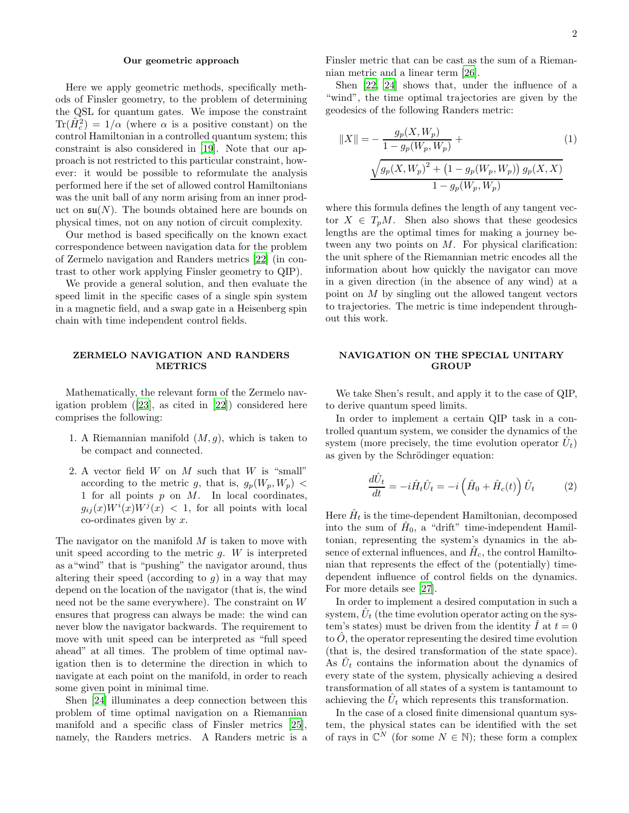# Our geometric approach

Here we apply geometric methods, specifically methods of Finsler geometry, to the problem of determining the QSL for quantum gates. We impose the constraint  $\text{Tr}(\hat{H}_c^2) = 1/\alpha$  (where  $\alpha$  is a positive constant) on the control Hamiltonian in a controlled quantum system; this constraint is also considered in [\[19\]](#page-6-11). Note that our approach is not restricted to this particular constraint, however: it would be possible to reformulate the analysis performed here if the set of allowed control Hamiltonians was the unit ball of any norm arising from an inner product on  $\mathfrak{su}(N)$ . The bounds obtained here are bounds on physical times, not on any notion of circuit complexity.

Our method is based specifically on the known exact correspondence between navigation data for the problem of Zermelo navigation and Randers metrics [\[22\]](#page-6-18) (in contrast to other work applying Finsler geometry to QIP).

We provide a general solution, and then evaluate the speed limit in the specific cases of a single spin system in a magnetic field, and a swap gate in a Heisenberg spin chain with time independent control fields.

# ZERMELO NAVIGATION AND RANDERS METRICS

Mathematically, the relevant form of the Zermelo navigation problem ([\[23\]](#page-6-19), as cited in [\[22\]](#page-6-18)) considered here comprises the following:

- 1. A Riemannian manifold  $(M, g)$ , which is taken to be compact and connected.
- 2. A vector field  $W$  on  $M$  such that  $W$  is "small" according to the metric g, that is,  $g_p(W_p, W_p)$  < 1 for all points  $p$  on  $M$ . In local coordinates,  $g_{ij}(x)W^i(x)W^j(x)$  < 1, for all points with local  $\alpha$ -ordinates given by  $x$ .

The navigator on the manifold  $M$  is taken to move with unit speed according to the metric  $g$ . W is interpreted as a"wind" that is "pushing" the navigator around, thus altering their speed (according to  $g$ ) in a way that may depend on the location of the navigator (that is, the wind need not be the same everywhere). The constraint on W ensures that progress can always be made: the wind can never blow the navigator backwards. The requirement to move with unit speed can be interpreted as "full speed ahead" at all times. The problem of time optimal navigation then is to determine the direction in which to navigate at each point on the manifold, in order to reach some given point in minimal time.

Shen [\[24\]](#page-6-20) illuminates a deep connection between this problem of time optimal navigation on a Riemannian manifold and a specific class of Finsler metrics [\[25\]](#page-6-21), namely, the Randers metrics. A Randers metric is a Finsler metric that can be cast as the sum of a Riemannian metric and a linear term [\[26](#page-6-22)].

Shen [\[22](#page-6-18), [24](#page-6-20)] shows that, under the influence of a "wind", the time optimal trajectories are given by the geodesics of the following Randers metric:

<span id="page-1-0"></span>
$$
||X|| = -\frac{g_p(X, W_p)}{1 - g_p(W_p, W_p)} + \frac{1}{\sqrt{g_p(X, W_p)^2 + (1 - g_p(W_p, W_p)) g_p(X, X)}}
$$
(1)  

$$
\frac{\sqrt{g_p(X, W_p)^2 + (1 - g_p(W_p, W_p)) g_p(X, X)}}{1 - g_p(W_p, W_p)}
$$

where this formula defines the length of any tangent vector  $X \in T_pM$ . Shen also shows that these geodesics lengths are the optimal times for making a journey between any two points on  $M$ . For physical clarification: the unit sphere of the Riemannian metric encodes all the information about how quickly the navigator can move in a given direction (in the absence of any wind) at a point on M by singling out the allowed tangent vectors to trajectories. The metric is time independent throughout this work.

# NAVIGATION ON THE SPECIAL UNITARY **GROUP**

We take Shen's result, and apply it to the case of QIP, to derive quantum speed limits.

In order to implement a certain QIP task in a controlled quantum system, we consider the dynamics of the system (more precisely, the time evolution operator  $\hat{U}_t$ ) as given by the Schrödinger equation:

$$
\frac{d\hat{U}_t}{dt} = -i\hat{H}_t\hat{U}_t = -i\left(\hat{H}_0 + \hat{H}_c(t)\right)\hat{U}_t \tag{2}
$$

Here  $\hat{H}_t$  is the time-dependent Hamiltonian, decomposed into the sum of  $\hat{H}_0$ , a "drift" time-independent Hamiltonian, representing the system's dynamics in the absence of external influences, and  $\hat{H}_c$ , the control Hamiltonian that represents the effect of the (potentially) timedependent influence of control fields on the dynamics. For more details see [\[27](#page-6-23)].

In order to implement a desired computation in such a system,  $\hat{U}_t$  (the time evolution operator acting on the system's states) must be driven from the identity  $\tilde{I}$  at  $t = 0$ to  $O$ , the operator representing the desired time evolution (that is, the desired transformation of the state space). As  $\hat{U}_t$  contains the information about the dynamics of every state of the system, physically achieving a desired transformation of all states of a system is tantamount to achieving the  $\hat{U}_t$  which represents this transformation.

In the case of a closed finite dimensional quantum system, the physical states can be identified with the set of rays in  $\mathbb{C}^N$  (for some  $N \in \mathbb{N}$ ); these form a complex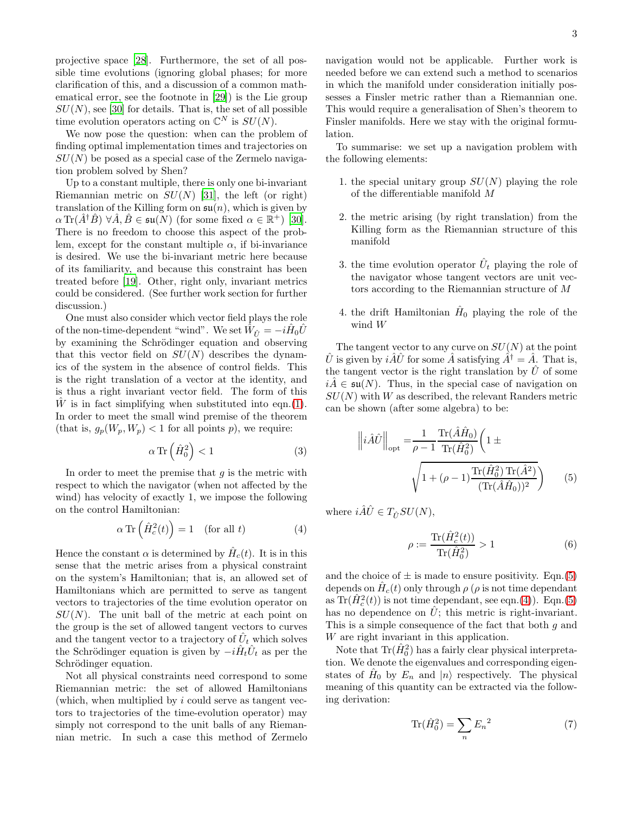projective space [\[28](#page-6-24)]. Furthermore, the set of all possible time evolutions (ignoring global phases; for more clarification of this, and a discussion of a common mathematical error, see the footnote in [\[29](#page-6-25)]) is the Lie group  $SU(N)$ , see [\[30\]](#page-6-26) for details. That is, the set of all possible time evolution operators acting on  $\mathbb{C}^N$  is  $SU(N)$ .

We now pose the question: when can the problem of finding optimal implementation times and trajectories on  $SU(N)$  be posed as a special case of the Zermelo navigation problem solved by Shen?

Up to a constant multiple, there is only one bi-invariant Riemannian metric on  $SU(N)$  [\[31](#page-6-27)], the left (or right) translation of the Killing form on  $\mathfrak{su}(n)$ , which is given by  $\alpha \operatorname{Tr}(\hat{A}^{\dagger} \hat{B}) \ \forall \hat{A}, \hat{B} \in \mathfrak{su}(N)$  (for some fixed  $\alpha \in \mathbb{R}^+$ ) [\[30\]](#page-6-26). There is no freedom to choose this aspect of the problem, except for the constant multiple  $\alpha$ , if bi-invariance is desired. We use the bi-invariant metric here because of its familiarity, and because this constraint has been treated before [\[19](#page-6-11)]. Other, right only, invariant metrics could be considered. (See further work section for further discussion.)

One must also consider which vector field plays the role of the non-time-dependent "wind". We set  $\hat{W}_{\hat{U}} = -i\hat{H}_0\hat{U}$ by examining the Schrödinger equation and observing that this vector field on  $SU(N)$  describes the dynamics of the system in the absence of control fields. This is the right translation of a vector at the identity, and is thus a right invariant vector field. The form of this  $\hat{W}$  is in fact simplifying when substituted into eqn.[\(1\)](#page-1-0). In order to meet the small wind premise of the theorem (that is,  $g_p(W_p, W_p) < 1$  for all points p), we require:

$$
\alpha \operatorname{Tr}\left(\hat{H}_0^2\right) < 1\tag{3}
$$

In order to meet the premise that  $g$  is the metric with respect to which the navigator (when not affected by the wind) has velocity of exactly 1, we impose the following on the control Hamiltonian:

$$
\alpha \operatorname{Tr}\left(\hat{H}_c^2(t)\right) = 1 \quad \text{(for all } t\text{)}\tag{4}
$$

Hence the constant  $\alpha$  is determined by  $\hat{H}_c(t)$ . It is in this sense that the metric arises from a physical constraint on the system's Hamiltonian; that is, an allowed set of Hamiltonians which are permitted to serve as tangent vectors to trajectories of the time evolution operator on  $SU(N)$ . The unit ball of the metric at each point on the group is the set of allowed tangent vectors to curves and the tangent vector to a trajectory of  $\hat{U}_t$  which solves the Schrödinger equation is given by  $-i\hat{H}_t \hat{U}_t$  as per the Schrödinger equation.

Not all physical constraints need correspond to some Riemannian metric: the set of allowed Hamiltonians (which, when multiplied by i could serve as tangent vectors to trajectories of the time-evolution operator) may simply not correspond to the unit balls of any Riemannian metric. In such a case this method of Zermelo

navigation would not be applicable. Further work is needed before we can extend such a method to scenarios in which the manifold under consideration initially possesses a Finsler metric rather than a Riemannian one. This would require a generalisation of Shen's theorem to Finsler manifolds. Here we stay with the original formulation.

To summarise: we set up a navigation problem with the following elements:

- 1. the special unitary group  $SU(N)$  playing the role of the differentiable manifold M
- 2. the metric arising (by right translation) from the Killing form as the Riemannian structure of this manifold
- 3. the time evolution operator  $\hat{U}_t$  playing the role of the navigator whose tangent vectors are unit vectors according to the Riemannian structure of M
- 4. the drift Hamiltonian  $\hat{H}_0$  playing the role of the wind W

The tangent vector to any curve on  $SU(N)$  at the point  $\hat{U}$  is given by  $i\hat{A}\hat{U}$  for some  $\hat{A}$  satisfying  $\hat{A}^{\dagger} = \hat{A}$ . That is, the tangent vector is the right translation by  $\hat{U}$  of some  $i\tilde{A} \in \mathfrak{su}(N)$ . Thus, in the special case of navigation on  $SU(N)$  with W as described, the relevant Randers metric can be shown (after some algebra) to be:

<span id="page-2-2"></span>
$$
\left\|i\hat{A}\hat{U}\right\|_{\text{opt}} = \frac{1}{\rho - 1} \frac{\text{Tr}(\hat{A}\hat{H}_0)}{\text{Tr}(\hat{H}_0^2)} \left(1 \pm \sqrt{1 + (\rho - 1) \frac{\text{Tr}(\hat{H}_0^2) \text{Tr}(\hat{A}^2)}{(\text{Tr}(\hat{A}\hat{H}_0))^2}}\right) \tag{5}
$$

<span id="page-2-1"></span>where  $i\hat{A}\hat{U} \in T_{\hat{U}}SU(N)$ ,

<span id="page-2-0"></span>
$$
\rho := \frac{\text{Tr}(\hat{H}_c^2(t))}{\text{Tr}(\hat{H}_0^2)} > 1
$$
\n(6)

and the choice of  $\pm$  is made to ensure positivity. Eqn.[\(5\)](#page-2-0) depends on  $\hat{H}_c(t)$  only through  $\rho$  ( $\rho$  is not time dependant as  $\text{Tr}(\hat{H}_c^2(t))$  is not time dependant, see eqn.[\(4\)](#page-2-1)). Eqn.[\(5\)](#page-2-0) has no dependence on  $\hat{U}$ ; this metric is right-invariant. This is a simple consequence of the fact that both  $q$  and W are right invariant in this application.

Note that  $\text{Tr}(\hat{H}_{0}^{2})$  has a fairly clear physical interpretation. We denote the eigenvalues and corresponding eigenstates of  $\hat{H}_0$  by  $E_n$  and  $|n\rangle$  respectively. The physical meaning of this quantity can be extracted via the following derivation:

$$
\operatorname{Tr}(\hat{H}_0^2) = \sum_n E_n^2 \tag{7}
$$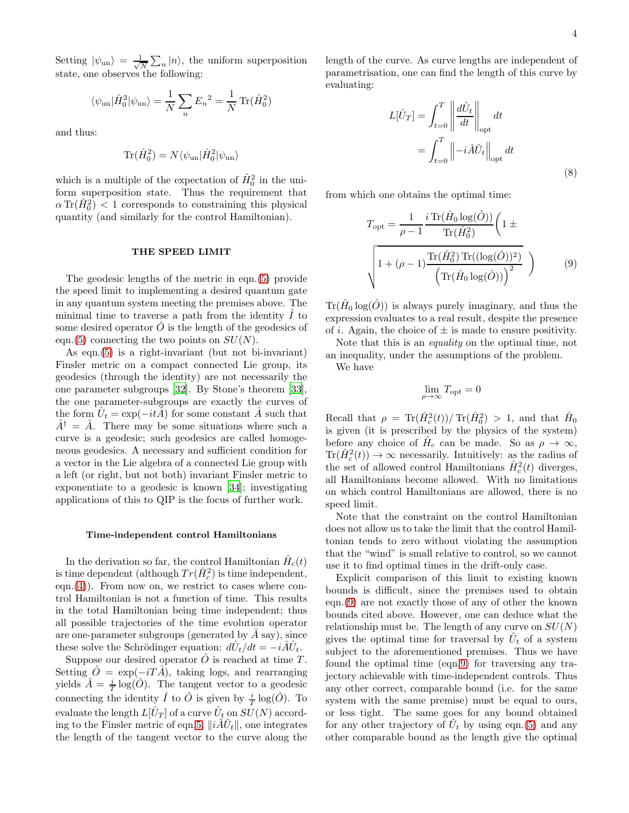Setting  $|\psi_{un}\rangle = \frac{1}{\sqrt{2}}$  $\frac{1}{N}\sum_{n}|n\rangle$ , the uniform superposition state, one observes the following:

$$
\langle \psi_{\text{un}} | \hat{H}_0^2 | \psi_{\text{un}} \rangle = \frac{1}{N} \sum_n E_n^2 = \frac{1}{N} \text{Tr}(\hat{H}_0^2)
$$

and thus:

$$
\text{Tr}(\hat{H}_0^2) = N \langle \psi_{\text{un}} | \hat{H}_0^2 | \psi_{\text{un}} \rangle
$$

which is a multiple of the expectation of  $\hat{H}_0^2$  in the uniform superposition state. Thus the requirement that  $\alpha \operatorname{Tr}(\hat{H}_0^2)$  < 1 corresponds to constraining this physical quantity (and similarly for the control Hamiltonian).

### THE SPEED LIMIT

The geodesic lengths of the metric in eqn.[\(5\)](#page-2-0) provide the speed limit to implementing a desired quantum gate in any quantum system meeting the premises above. The minimal time to traverse a path from the identity  $\hat{I}$  to some desired operator  $\ddot{O}$  is the length of the geodesics of eqn.[\(5\)](#page-2-0) connecting the two points on  $SU(N)$ .

As eqn.[\(5\)](#page-2-0) is a right-invariant (but not bi-invariant) Finsler metric on a compact connected Lie group, its geodesics (through the identity) are not necessarily the one parameter subgroups [\[32\]](#page-6-28). By Stone's theorem [\[33\]](#page-6-29), the one parameter-subgroups are exactly the curves of the form  $\hat{U}_t = \exp(-it\hat{A})$  for some constant  $\hat{A}$  such that  $A^{\dagger} = \hat{A}$ . There may be some situations where such a curve is a geodesic; such geodesics are called homogeneous geodesics. A necessary and sufficient condition for a vector in the Lie algebra of a connected Lie group with a left (or right, but not both) invariant Finsler metric to exponentiate to a geodesic is known [\[34\]](#page-6-30); investigating applications of this to QIP is the focus of further work.

### Time-independent control Hamiltonians

In the derivation so far, the control Hamiltonian  $\hat{H}_c(t)$ is time dependent (although  $Tr(\hat{H}_c^2)$  is time independent, eqn. $(4)$ ). From now on, we restrict to cases where control Hamiltonian is not a function of time. This results in the total Hamiltonian being time independent; thus all possible trajectories of the time evolution operator are one-parameter subgroups (generated by  $\hat{A}$  say), since these solve the Schrödinger equation:  $d\hat{U}_t/dt = -i\hat{A}\hat{U}_t$ .

Suppose our desired operator  $\hat{O}$  is reached at time T. Setting  $\hat{O} = \exp(-i T \hat{A})$ , taking logs, and rearranging yields  $\hat{A} = \frac{i}{T} \log(\hat{O})$ . The tangent vector to a geodesic connecting the identity  $\hat{I}$  to  $\hat{O}$  is given by  $\frac{i}{T} \log(\hat{O})$ . To evaluate the length  $L[\hat{U}_T]$  of a curve  $\hat{U}_t$  on  $SU(N)$  accord-ing to the Finsler metric of eqn[.5,](#page-2-0)  $\|\hat{i}\hat{A}\hat{U}_{t}\|$ , one integrates the length of the tangent vector to the curve along the length of the curve. As curve lengths are independent of parametrisation, one can find the length of this curve by evaluating:

$$
L[\hat{U}_T] = \int_{t=0}^T \left\| \frac{d\hat{U}_t}{dt} \right\|_{\text{opt}} dt
$$

$$
= \int_{t=0}^T \left\| -i\hat{A}\hat{U}_t \right\|_{\text{opt}} dt
$$
(8)

from which one obtains the optimal time:

$$
T_{\rm opt} = \frac{1}{\rho - 1} \frac{i \operatorname{Tr}(\hat{H}_0 \log(\hat{O}))}{\operatorname{Tr}(\hat{H}_0^2)} \left(1 \pm \sqrt{1 + (\rho - 1) \frac{\operatorname{Tr}(\hat{H}_0^2) \operatorname{Tr}((\log(\hat{O}))^2)}{\left(\operatorname{Tr}(\hat{H}_0 \log(\hat{O}))\right)^2}}\right)
$$
(9)

 $\text{Tr}(\hat{H}_0 \log(\hat{O}))$  is always purely imaginary, and thus the expression evaluates to a real result, despite the presence of *i*. Again, the choice of  $\pm$  is made to ensure positivity.

Note that this is an equality on the optimal time, not an inequality, under the assumptions of the problem.

We have

<span id="page-3-0"></span>
$$
\lim_{\rho\to\infty}T_{\rm opt}=0
$$

Recall that  $\rho = \text{Tr}(\hat{H}_c^2(t)) / \text{Tr}(\hat{H}_0^2) > 1$ , and that  $\hat{H}_0$ is given (it is prescribed by the physics of the system) before any choice of  $\hat{H}_c$  can be made. So as  $\rho \to \infty$ ,  $\text{Tr}(\hat{H}_c^2(t)) \to \infty$  necessarily. Intuitively: as the radius of the set of allowed control Hamiltonians  $\hat{H}_c^2(t)$  diverges, all Hamiltonians become allowed. With no limitations on which control Hamiltonians are allowed, there is no speed limit.

Note that the constraint on the control Hamiltonian does not allow us to take the limit that the control Hamiltonian tends to zero without violating the assumption that the "wind" is small relative to control, so we cannot use it to find optimal times in the drift-only case.

Explicit comparison of this limit to existing known bounds is difficult, since the premises used to obtain eqn.[\(9\)](#page-3-0) are not exactly those of any of other the known bounds cited above. However, one can deduce what the relationship must be. The length of any curve on  $SU(N)$ gives the optimal time for traversal by  $\hat{U}_t$  of a system subject to the aforementioned premises. Thus we have found the optimal time (eqn[.9\)](#page-3-0) for traversing any trajectory achievable with time-independent controls. Thus any other correct, comparable bound (i.e. for the same system with the same premise) must be equal to ours, or less tight. The same goes for any bound obtained for any other trajectory of  $\hat{U}_t$  by using eqn.[\(5\)](#page-2-0) and any other comparable bound as the length give the optimal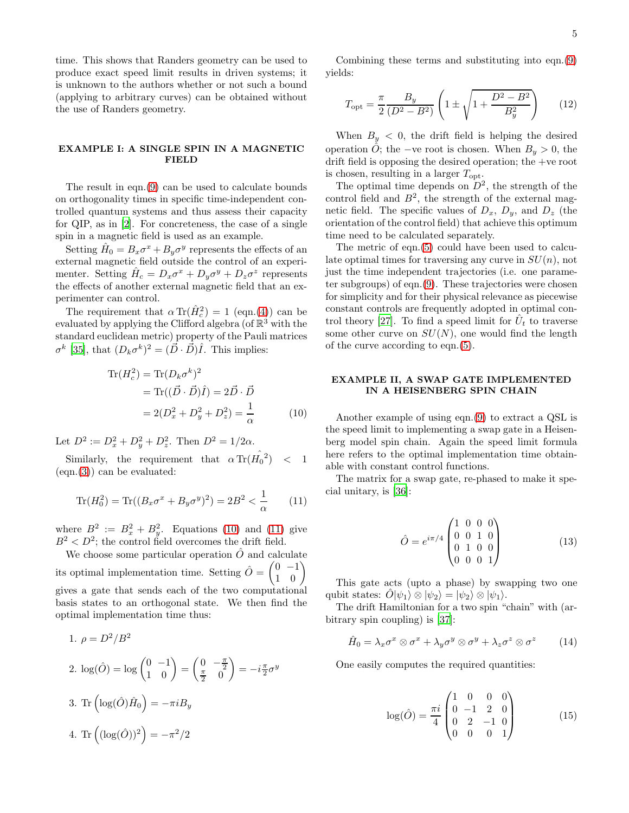time. This shows that Randers geometry can be used to produce exact speed limit results in driven systems; it is unknown to the authors whether or not such a bound (applying to arbitrary curves) can be obtained without the use of Randers geometry.

# EXAMPLE I: A SINGLE SPIN IN A MAGNETIC FIELD

The result in eqn.[\(9\)](#page-3-0) can be used to calculate bounds on orthogonality times in specific time-independent controlled quantum systems and thus assess their capacity for QIP, as in [\[2\]](#page-6-31). For concreteness, the case of a single spin in a magnetic field is used as an example.

Setting  $\hat{H}_0 = B_x \sigma^x + B_y \sigma^y$  represents the effects of an external magnetic field outside the control of an experimenter. Setting  $\hat{H}_c = D_x \sigma^x + D_y \sigma^y + D_z \sigma^z$  represents the effects of another external magnetic field that an experimenter can control.

The requirement that  $\alpha \text{Tr}(\hat{H}_c^2) = 1$  (eqn.[\(4\)](#page-2-1)) can be evaluated by applying the Clifford algebra (of  $\mathbb{R}^3$  with the standard euclidean metric) property of the Pauli matrices  $\sigma^k$  [\[35](#page-6-32)], that  $(D_k \sigma^k)^2 = (\vec{D} \cdot \vec{D})\hat{I}$ . This implies:

$$
\operatorname{Tr}(H_c^2) = \operatorname{Tr}(D_k \sigma^k)^2
$$
  
= 
$$
\operatorname{Tr}((\vec{D} \cdot \vec{D})\hat{I}) = 2\vec{D} \cdot \vec{D}
$$
  
= 
$$
2(D_x^2 + D_y^2 + D_z^2) = \frac{1}{\alpha}
$$
 (10)

Let  $D^2 := D_x^2 + D_y^2 + D_z^2$ . Then  $D^2 = 1/2\alpha$ .

Similarly, the requirement that  $\alpha \operatorname{Tr}(\hat{H_0}^2)$  < 1  $(eqn.(3))$  $(eqn.(3))$  $(eqn.(3))$  can be evaluated:

$$
\text{Tr}(H_0^2) = \text{Tr}((B_x \sigma^x + B_y \sigma^y)^2) = 2B^2 < \frac{1}{\alpha} \tag{11}
$$

where  $B^2 := B_x^2 + B_y^2$ . Equations [\(10\)](#page-4-0) and [\(11\)](#page-4-1) give  $B^2 < D^2$ ; the control field overcomes the drift field.

We choose some particular operation  $\ddot{O}$  and calculate its optimal implementation time. Setting  $\hat{O} = \begin{pmatrix} 0 & -1 \\ 1 & 0 \end{pmatrix}$ gives a gate that sends each of the two computational basis states to an orthogonal state. We then find the optimal implementation time thus:

1. 
$$
\rho = D^2/B^2
$$
  
\n2. 
$$
\log(\hat{O}) = \log \begin{pmatrix} 0 & -1 \\ 1 & 0 \end{pmatrix} = \begin{pmatrix} 0 & -\frac{\pi}{2} \\ \frac{\pi}{2} & 0 \end{pmatrix} = -i\frac{\pi}{2}\sigma^y
$$
  
\n3. Tr 
$$
\left(\log(\hat{O})\hat{H}_0\right) = -\pi i B_y
$$
  
\n4. Tr 
$$
\left((\log(\hat{O}))^2\right) = -\pi^2/2
$$

Combining these terms and substituting into eqn.[\(9\)](#page-3-0) yields:

$$
T_{\rm opt} = \frac{\pi}{2} \frac{B_y}{(D^2 - B^2)} \left( 1 \pm \sqrt{1 + \frac{D^2 - B^2}{B_y^2}} \right) \tag{12}
$$

When  $B_y < 0$ , the drift field is helping the desired operation  $\hat{O}$ ; the −ve root is chosen. When  $B_y > 0$ , the drift field is opposing the desired operation; the +ve root is chosen, resulting in a larger  $T_{\text{opt}}$ .

The optimal time depends on  $D^2$ , the strength of the control field and  $B^2$ , the strength of the external magnetic field. The specific values of  $D_x$ ,  $D_y$ , and  $D_z$  (the orientation of the control field) that achieve this optimum time need to be calculated separately.

The metric of eqn.[\(5\)](#page-2-0) could have been used to calculate optimal times for traversing any curve in  $SU(n)$ , not just the time independent trajectories (i.e. one parameter subgroups) of eqn.[\(9\)](#page-3-0). These trajectories were chosen for simplicity and for their physical relevance as piecewise constant controls are frequently adopted in optimal con-trol theory [\[27](#page-6-23)]. To find a speed limit for  $\hat{U}_t$  to traverse some other curve on  $SU(N)$ , one would find the length of the curve according to eqn.[\(5\)](#page-2-0).

# EXAMPLE II, A SWAP GATE IMPLEMENTED IN A HEISENBERG SPIN CHAIN

<span id="page-4-0"></span>Another example of using eqn.[\(9\)](#page-3-0) to extract a QSL is the speed limit to implementing a swap gate in a Heisenberg model spin chain. Again the speed limit formula here refers to the optimal implementation time obtainable with constant control functions.

<span id="page-4-1"></span>The matrix for a swap gate, re-phased to make it special unitary, is [\[36](#page-6-33)]:

$$
\hat{O} = e^{i\pi/4} \begin{pmatrix} 1 & 0 & 0 & 0 \\ 0 & 0 & 1 & 0 \\ 0 & 1 & 0 & 0 \\ 0 & 0 & 0 & 1 \end{pmatrix}
$$
(13)

This gate acts (upto a phase) by swapping two one qubit states:  $\hat{O}|\psi_1\rangle \otimes |\psi_2\rangle = |\psi_2\rangle \otimes |\psi_1\rangle$ .

The drift Hamiltonian for a two spin "chain" with (arbitrary spin coupling) is [\[37](#page-6-34)]:

$$
\hat{H}_0 = \lambda_x \sigma^x \otimes \sigma^x + \lambda_y \sigma^y \otimes \sigma^y + \lambda_z \sigma^z \otimes \sigma^z \qquad (14)
$$

One easily computes the required quantities:

$$
\log(\hat{O}) = \frac{\pi i}{4} \begin{pmatrix} 1 & 0 & 0 & 0 \\ 0 & -1 & 2 & 0 \\ 0 & 2 & -1 & 0 \\ 0 & 0 & 0 & 1 \end{pmatrix}
$$
 (15)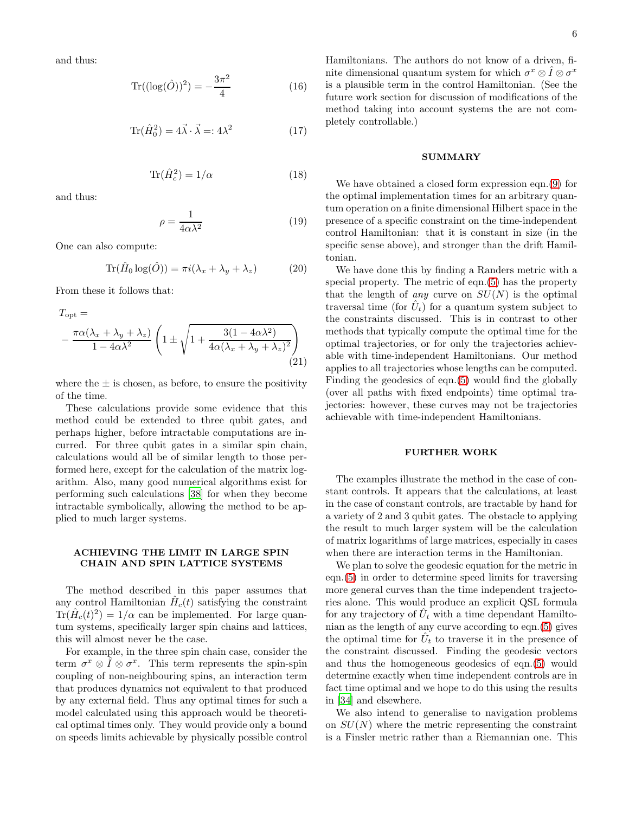and thus:

$$
\text{Tr}((\log(\hat{O}))^2) = -\frac{3\pi^2}{4} \tag{16}
$$

$$
\text{Tr}(\hat{H}_0^2) = 4\vec{\lambda} \cdot \vec{\lambda} = 4\lambda^2 \tag{17}
$$

$$
\text{Tr}(\hat{H}_c^2) = 1/\alpha \tag{18}
$$

and thus:

$$
\rho = \frac{1}{4\alpha\lambda^2} \tag{19}
$$

One can also compute:

$$
\text{Tr}(\hat{H}_0 \log(\hat{O})) = \pi i (\lambda_x + \lambda_y + \lambda_z) \tag{20}
$$

From these it follows that:

$$
T_{\text{opt}} =
$$
  
- 
$$
\frac{\pi \alpha (\lambda_x + \lambda_y + \lambda_z)}{1 - 4\alpha \lambda^2} \left( 1 \pm \sqrt{1 + \frac{3(1 - 4\alpha \lambda^2)}{4\alpha (\lambda_x + \lambda_y + \lambda_z)^2}} \right)
$$
(21)

where the  $\pm$  is chosen, as before, to ensure the positivity of the time.

These calculations provide some evidence that this method could be extended to three qubit gates, and perhaps higher, before intractable computations are incurred. For three qubit gates in a similar spin chain, calculations would all be of similar length to those performed here, except for the calculation of the matrix logarithm. Also, many good numerical algorithms exist for performing such calculations [\[38\]](#page-6-35) for when they become intractable symbolically, allowing the method to be applied to much larger systems.

# ACHIEVING THE LIMIT IN LARGE SPIN CHAIN AND SPIN LATTICE SYSTEMS

The method described in this paper assumes that any control Hamiltonian  $\hat{H}_c(t)$  satisfying the constraint  $\text{Tr}(\hat{H}_c(t)^2) = 1/\alpha$  can be implemented. For large quantum systems, specifically larger spin chains and lattices, this will almost never be the case.

For example, in the three spin chain case, consider the term  $\sigma^x \otimes \hat{I} \otimes \sigma^x$ . This term represents the spin-spin coupling of non-neighbouring spins, an interaction term that produces dynamics not equivalent to that produced by any external field. Thus any optimal times for such a model calculated using this approach would be theoretical optimal times only. They would provide only a bound on speeds limits achievable by physically possible control Hamiltonians. The authors do not know of a driven, finite dimensional quantum system for which  $\sigma^x \otimes \hat{I} \otimes \sigma^x$ is a plausible term in the control Hamiltonian. (See the future work section for discussion of modifications of the method taking into account systems the are not completely controllable.)

# **SUMMARY**

We have obtained a closed form expression eqn.[\(9\)](#page-3-0) for the optimal implementation times for an arbitrary quantum operation on a finite dimensional Hilbert space in the presence of a specific constraint on the time-independent control Hamiltonian: that it is constant in size (in the specific sense above), and stronger than the drift Hamiltonian.

We have done this by finding a Randers metric with a special property. The metric of eqn.[\(5\)](#page-2-0) has the property that the length of *any* curve on  $SU(N)$  is the optimal traversal time (for  $\hat{U}_t$ ) for a quantum system subject to the constraints discussed. This is in contrast to other methods that typically compute the optimal time for the optimal trajectories, or for only the trajectories achievable with time-independent Hamiltonians. Our method applies to all trajectories whose lengths can be computed. Finding the geodesics of eqn.[\(5\)](#page-2-0) would find the globally (over all paths with fixed endpoints) time optimal trajectories: however, these curves may not be trajectories achievable with time-independent Hamiltonians.

# FURTHER WORK

The examples illustrate the method in the case of constant controls. It appears that the calculations, at least in the case of constant controls, are tractable by hand for a variety of 2 and 3 qubit gates. The obstacle to applying the result to much larger system will be the calculation of matrix logarithms of large matrices, especially in cases when there are interaction terms in the Hamiltonian.

We plan to solve the geodesic equation for the metric in eqn.[\(5\)](#page-2-0) in order to determine speed limits for traversing more general curves than the time independent trajectories alone. This would produce an explicit QSL formula for any trajectory of  $\hat{U}_t$  with a time dependant Hamiltonian as the length of any curve according to eqn.[\(5\)](#page-2-0) gives the optimal time for  $\hat{U}_t$  to traverse it in the presence of the constraint discussed. Finding the geodesic vectors and thus the homogeneous geodesics of eqn.[\(5\)](#page-2-0) would determine exactly when time independent controls are in fact time optimal and we hope to do this using the results in [\[34\]](#page-6-30) and elsewhere.

We also intend to generalise to navigation problems on  $SU(N)$  where the metric representing the constraint is a Finsler metric rather than a Riemannian one. This